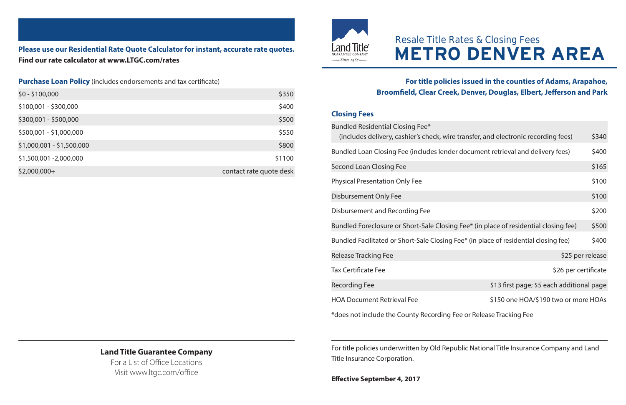## **Please use our Residential Rate Quote Calculator for instant, accurate rate quotes. Find our rate calculator at www.LTGC.com/rates**

#### **Purchase Loan Policy** (includes endorsements and tax certificate)

| \$0 - \$100,000           | \$350                   |
|---------------------------|-------------------------|
| \$100,001 - \$300,000     | \$400                   |
| \$300,001 - \$500,000     | \$500                   |
| \$500,001 - \$1,000,000   | \$550                   |
| \$1,000,001 - \$1,500,000 | \$800                   |
| \$1,500,001 -2,000,000    | \$1100                  |
| \$2,000,000+              | contact rate quote desk |



# Resale Title Rates & Closing Fees **METRO DENVER AREA**

### **For title policies issued in the counties of Adams, Arapahoe, Broomfield, Clear Creek, Denver, Douglas, Elbert, Jefferson and Park**

#### **Closing Fees**

| Bundled Residential Closing Fee*<br>(includes delivery, cashier's check, wire transfer, and electronic recording fees) |                                           | \$340 |
|------------------------------------------------------------------------------------------------------------------------|-------------------------------------------|-------|
| Bundled Loan Closing Fee (includes lender document retrieval and delivery fees)                                        |                                           | \$400 |
| Second Loan Closing Fee                                                                                                |                                           | \$165 |
| <b>Physical Presentation Only Fee</b>                                                                                  |                                           | \$100 |
| Disbursement Only Fee                                                                                                  |                                           | \$100 |
| Disbursement and Recording Fee                                                                                         |                                           | \$200 |
| Bundled Foreclosure or Short-Sale Closing Fee* (in place of residential closing fee)                                   |                                           | \$500 |
| Bundled Facilitated or Short-Sale Closing Fee* (in place of residential closing fee)                                   |                                           | \$400 |
| <b>Release Tracking Fee</b>                                                                                            | \$25 per release                          |       |
| <b>Tax Certificate Fee</b>                                                                                             | \$26 per certificate                      |       |
| Recording Fee                                                                                                          | \$13 first page; \$5 each additional page |       |
| <b>HOA Document Retrieval Fee</b>                                                                                      | \$150 one HOA/\$190 two or more HOAs      |       |
| *dees not include the County Becarding Ese or Belease Tracking Ese.                                                    |                                           |       |

\*does not include the County Recording Fee or Release Tracking Fee

For title policies underwritten by Old Republic National Title Insurance Company and Land Title Insurance Corporation.

**Effective September 4, 2017** 

## **Land Title Guarantee Company**

For a List of Office Locations Visit www.ltgc.com/office